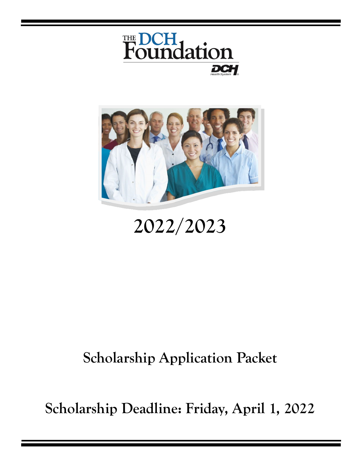



## **2022/2023**

### **Scholarship Application Packet**

**Scholarship Deadline: Friday, April 1, 2022**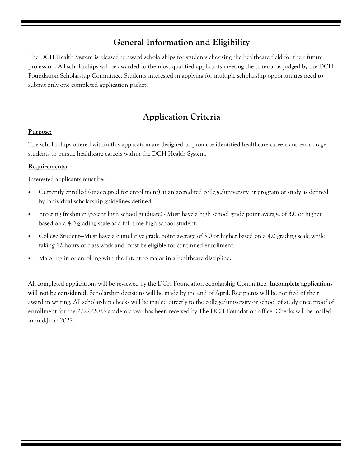#### **General Information and Eligibility**

The DCH Health System is pleased to award scholarships for students choosing the healthcare field for their future profession. All scholarships will be awarded to the most qualified applicants meeting the criteria, as judged by the DCH Foundation Scholarship Committee. Students interested in applying for multiple scholarship opportunities need to submit only one completed application packet.

#### **Application Criteria**

#### **Purpose:**

The scholarships offered within this application are designed to promote identified healthcare careers and encourage students to pursue healthcare careers within the DCH Health System.

#### **Requirements:**

Interested applicants must be:

- Currently enrolled (or accepted for enrollment) at an accredited college/university or program of study as defined by individual scholarship guidelines defined.
- Entering freshman (recent high school graduate) Must have a high school grade point average of 3.0 or higher based on a 4.0 grading scale as a full-time high school student.
- College Student—Must have a cumulative grade point average of 3.0 or higher based on a 4.0 grading scale while taking 12 hours of class work and must be eligible for continued enrollment.
- Majoring in or enrolling with the intent to major in a healthcare discipline.

All completed applications will be reviewed by the DCH Foundation Scholarship Committee. **Incomplete applications will not be considered.** Scholarship decisions will be made by the end of April. Recipients will be notified of their award in writing. All scholarship checks will be mailed directly to the college/university or school of study once proof of enrollment for the 2022/2023 academic year has been received by The DCH Foundation office. Checks will be mailed in mid-June 2022.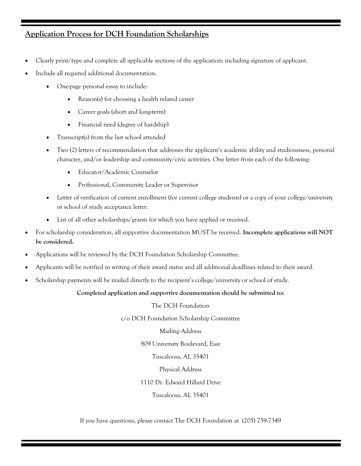#### **Application Process for DCH Foundation Scholarships**

- Clearly print/type and complete all applicable sections of the application; including signature of applicant.
- Include all required additional documentation:
	- One-page personal essay to include:
		- Reason(s) for choosing a health related career
		- Career goals (short and long-term)
		- Financial need (degree of hardship)
	- Transcript(s) from the last school attended
	- Two (2) letters of recommendation that addresses the applicant's academic ability and studiousness, personal character, and/or leadership and community/civic activities. One letter from each of the following:
		- Educator/Academic Counselor
		- Professional, Community Leader or Supervisor
	- Letter of verification of current enrollment (for current college students) or a copy of your college/university or school of study acceptance letter.
	- List of all other scholarships/grants for which you have applied or received.
- For scholarship consideration, all supportive documentation MUST be received. **Incomplete applications will NOT be considered.**
- Applications will be reviewed by the DCH Foundation Scholarship Committee.
- Applicants will be notified in writing of their award status and all additional deadlines related to their award.
- Scholarship payments will be mailed directly to the recipient's college/university or school of study.

#### **Completed application and supportive documentation should be submitted to:**

The DCH Foundation

c/o DCH Foundation Scholarship Committee

Mailing Address

809 University Boulevard, East

Tuscaloosa, AL 35401

Physical Address

1110 Dr. Edward Hillard Drive

Tuscaloosa, AL 35401

If you have questions, please contact The DCH Foundation at (205) 759-7349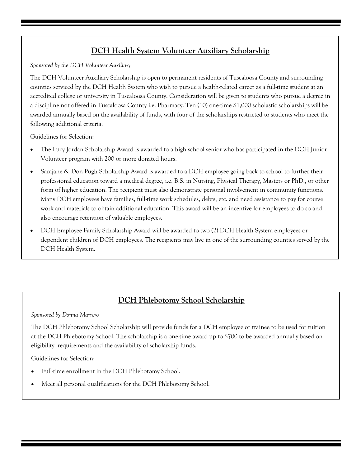#### **DCH Health System Volunteer Auxiliary Scholarship**

*Sponsored by the DCH Volunteer Auxiliary*

The DCH Volunteer Auxiliary Scholarship is open to permanent residents of Tuscaloosa County and surrounding counties serviced by the DCH Health System who wish to pursue a health-related career as a full-time student at an accredited college or university in Tuscaloosa County. Consideration will be given to students who pursue a degree in a discipline not offered in Tuscaloosa County i.e. Pharmacy. Ten (10) one-time \$1,000 scholastic scholarships will be awarded annually based on the availability of funds, with four of the scholarships restricted to students who meet the following additional criteria:

Guidelines for Selection:

- The Lucy Jordan Scholarship Award is awarded to a high school senior who has participated in the DCH Junior Volunteer program with 200 or more donated hours.
- Sarajane & Don Pugh Scholarship Award is awarded to a DCH employee going back to school to further their professional education toward a medical degree, i.e. B.S. in Nursing, Physical Therapy, Masters or PhD., or other form of higher education. The recipient must also demonstrate personal involvement in community functions. Many DCH employees have families, full-time work schedules, debts, etc. and need assistance to pay for course work and materials to obtain additional education. This award will be an incentive for employees to do so and also encourage retention of valuable employees.
- DCH Employee Family Scholarship Award will be awarded to two (2) DCH Health System employees or dependent children of DCH employees. The recipients may live in one of the surrounding counties served by the DCH Health System.

#### **DCH Phlebotomy School Scholarship**

*Sponsored by Donna Marrero*

The DCH Phlebotomy School Scholarship will provide funds for a DCH employee or trainee to be used for tuition at the DCH Phlebotomy School. The scholarship is a one-time award up to \$700 to be awarded annually based on eligibility requirements and the availability of scholarship funds.

Guidelines for Selection:

- Full-time enrollment in the DCH Phlebotomy School.
- Meet all personal qualifications for the DCH Phlebotomy School.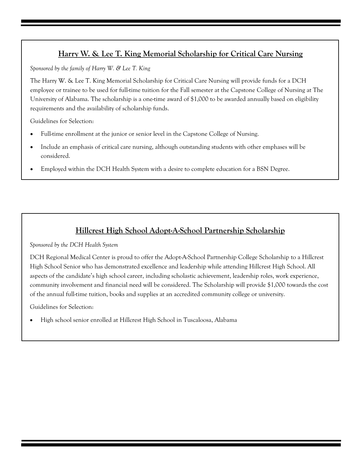#### **Harry W. & Lee T. King Memorial Scholarship for Critical Care Nursing**

*Sponsored by the family of Harry W. & Lee T. King*

The Harry W. & Lee T. King Memorial Scholarship for Critical Care Nursing will provide funds for a DCH employee or trainee to be used for full-time tuition for the Fall semester at the Capstone College of Nursing at The University of Alabama. The scholarship is a one-time award of \$1,000 to be awarded annually based on eligibility requirements and the availability of scholarship funds.

Guidelines for Selection:

- Full-time enrollment at the junior or senior level in the Capstone College of Nursing.
- Include an emphasis of critical care nursing, although outstanding students with other emphases will be considered.
- Employed within the DCH Health System with a desire to complete education for a BSN Degree.

#### **Hillcrest High School Adopt-A-School Partnership Scholarship**

*Sponsored by the DCH Health System*

DCH Regional Medical Center is proud to offer the Adopt-A-School Partnership College Scholarship to a Hillcrest High School Senior who has demonstrated excellence and leadership while attending Hillcrest High School. All aspects of the candidate's high school career, including scholastic achievement, leadership roles, work experience, community involvement and financial need will be considered. The Scholarship will provide \$1,000 towards the cost of the annual full-time tuition, books and supplies at an accredited community college or university.

Guidelines for Selection:

High school senior enrolled at Hillcrest High School in Tuscaloosa, Alabama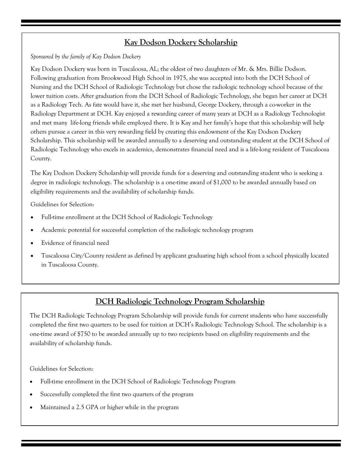#### **Kay Dodson Dockery Scholarship**

*Sponsored by the family of Kay Dodson Dockery*

Kay Dodson Dockery was born in Tuscaloosa, AL; the oldest of two daughters of Mr. & Mrs. Billie Dodson. Following graduation from Brookwood High School in 1975, she was accepted into both the DCH School of Nursing and the DCH School of Radiologic Technology but chose the radiologic technology school because of the lower tuition costs. After graduation from the DCH School of Radiologic Technology, she began her career at DCH as a Radiology Tech. As fate would have it, she met her husband, George Dockery, through a co-worker in the Radiology Department at DCH. Kay enjoyed a rewarding career of many years at DCH as a Radiology Technologist and met many life-long friends while employed there. It is Kay and her family's hope that this scholarship will help others pursue a career in this very rewarding field by creating this endowment of the Kay Dodson Dockery Scholarship. This scholarship will be awarded annually to a deserving and outstanding student at the DCH School of Radiologic Technology who excels in academics, demonstrates financial need and is a life-long resident of Tuscaloosa County.

The Kay Dodson Dockery Scholarship will provide funds for a deserving and outstanding student who is seeking a degree in radiologic technology. The scholarship is a one-time award of \$1,000 to be awarded annually based on eligibility requirements and the availability of scholarship funds.

Guidelines for Selection:

- Full-time enrollment at the DCH School of Radiologic Technology
- Academic potential for successful completion of the radiologic technology program
- Evidence of financial need
- Tuscaloosa City/County resident as defined by applicant graduating high school from a school physically located in Tuscaloosa County.

#### **DCH Radiologic Technology Program Scholarship**

The DCH Radiologic Technology Program Scholarship will provide funds for current students who have successfully completed the first two quarters to be used for tuition at DCH's Radiologic Technology School. The scholarship is a one-time award of \$750 to be awarded annually up to two recipients based on eligibility requirements and the availability of scholarship funds.

Guidelines for Selection:

- Full-time enrollment in the DCH School of Radiologic Technology Program
- Successfully completed the first two quarters of the program
- Maintained a 2.5 GPA or higher while in the program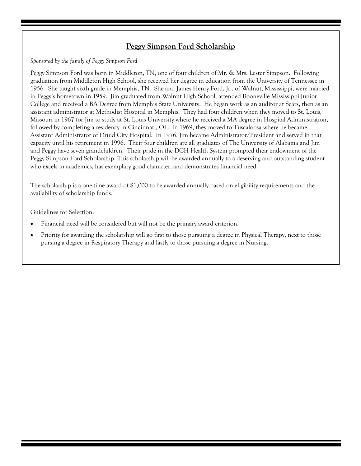#### **Peggy Simpson Ford Scholarship**

*Sponsored by the family of Peggy Simpson Ford*

Peggy Simpson Ford was born in Middleton, TN, one of four children of Mr. & Mrs. Lester Simpson. Following graduation from Middleton High School, she received her degree in education from the University of Tennessee in 1956. She taught sixth grade in Memphis, TN. She and James Henry Ford, Jr., of Walnut, Mississippi, were married in Peggy's hometown in 1959. Jim graduated from Walnut High School, attended Booneville Mississippi Junior College and received a BA Degree from Memphis State University. He began work as an auditor at Sears, then as an assistant administrator at Methodist Hospital in Memphis. They had four children when they moved to St. Louis, Missouri in 1967 for Jim to study at St. Louis University where he received a MA degree in Hospital Administration, followed by completing a residency in Cincinnati, OH. In 1969, they moved to Tuscaloosa where he became Assistant Administrator of Druid City Hospital. In 1976, Jim became Administrator/President and served in that capacity until his retirement in 1996. Their four children are all graduates of The University of Alabama and Jim and Peggy have seven grandchildren. Their pride in the DCH Health System prompted their endowment of the Peggy Simpson Ford Scholarship. This scholarship will be awarded annually to a deserving and outstanding student who excels in academics, has exemplary good character, and demonstrates financial need.

The scholarship is a one-time award of \$1,000 to be awarded annually based on eligibility requirements and the availability of scholarship funds.

Guidelines for Selection:

- Financial need will be considered but will not be the primary award criterion.
- Priority for awarding the scholarship will go first to those pursuing a degree in Physical Therapy, next to those pursing a degree in Respiratory Therapy and lastly to those pursuing a degree in Nursing.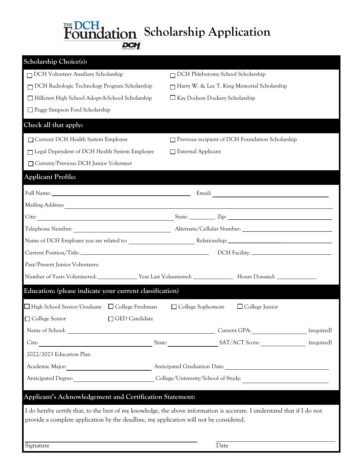# **Foundation** Scholarship Application

| <b>Scholarship Choice(s):</b>                                                          |                                                                                                                         |  |
|----------------------------------------------------------------------------------------|-------------------------------------------------------------------------------------------------------------------------|--|
| DCH Volunteer Auxiliary Scholarship                                                    | DCH Phlebotomy School Scholarship                                                                                       |  |
| DCH Radiologic Technology Program Scholarship                                          | Harry W. & Lee T. King Memorial Scholarship                                                                             |  |
| Hillcrest High School Adopt-A-School Scholarship                                       | $\Box$ Kay Dodson Dockery Scholarship                                                                                   |  |
| □ Peggy Simpson Ford Scholarship                                                       |                                                                                                                         |  |
| Check all that apply:                                                                  |                                                                                                                         |  |
| □ Current DCH Health System Employee                                                   | Previous recipient of DCH Foundation Scholarship                                                                        |  |
| □ Legal Dependent of DCH Health System Employee                                        | $\Box$ External Applicant                                                                                               |  |
| □ Current/Previous DCH Junior Volunteer                                                |                                                                                                                         |  |
| <b>Applicant Profile:</b>                                                              |                                                                                                                         |  |
|                                                                                        |                                                                                                                         |  |
|                                                                                        |                                                                                                                         |  |
|                                                                                        |                                                                                                                         |  |
|                                                                                        |                                                                                                                         |  |
|                                                                                        |                                                                                                                         |  |
|                                                                                        |                                                                                                                         |  |
| Past/Present Junior Volunteers:                                                        |                                                                                                                         |  |
|                                                                                        |                                                                                                                         |  |
| Education: (please indicate your current classification)                               |                                                                                                                         |  |
| $\Box$ High School Senior/Graduate $\Box$ College Freshman                             | □ College Sophomore<br>$\Box$ College Junior                                                                            |  |
| □ College Senior □ GED Candidate                                                       |                                                                                                                         |  |
|                                                                                        |                                                                                                                         |  |
|                                                                                        |                                                                                                                         |  |
| 2022/2023 Education Plan                                                               |                                                                                                                         |  |
|                                                                                        |                                                                                                                         |  |
|                                                                                        |                                                                                                                         |  |
| Applicant's Acknowledgement and Certification Statement:                               |                                                                                                                         |  |
|                                                                                        |                                                                                                                         |  |
| provide a complete application by the deadline, my application will not be considered. | I do hereby certify that, to the best of my knowledge, the above information is accurate. I understand that if I do not |  |
|                                                                                        |                                                                                                                         |  |